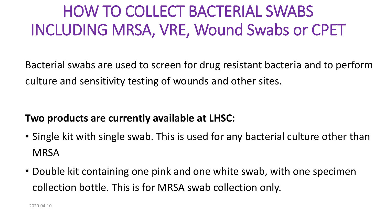### HOW TO COLLECT BACTERIAL SWABS INCLUDING MRSA, VRE, Wound Swabs or CPET

Bacterial swabs are used to screen for drug resistant bacteria and to perform culture and sensitivity testing of wounds and other sites.

#### **Two products are currently available at LHSC:**

- Single kit with single swab. This is used for any bacterial culture other than **MRSA**
- Double kit containing one pink and one white swab, with one specimen collection bottle. This is for MRSA swab collection only.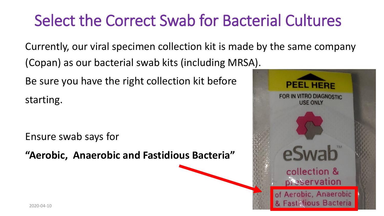### Select the Correct Swab for Bacterial Cultures

Currently, our viral specimen collection kit is made by the same company

(Copan) as our bacterial swab kits (including MRSA).

Be sure you have the right collection kit before

starting.

Ensure swab says for

**"Aerobic, Anaerobic and Fastidious Bacteria"** 

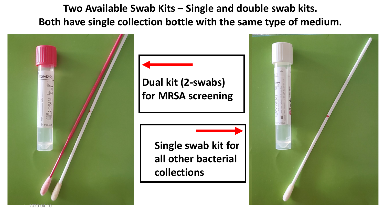**Two Available Swab Kits – Single and double swab kits. Both have single collection bottle with the same type of medium.** 

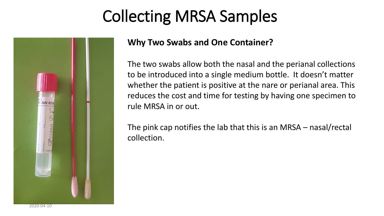## Collecting MRSA Samples



#### **Why Two Swabs and One Container?**

The two swabs allow both the nasal and the perianal collections to be introduced into a single medium bottle. It doesn't matter whether the patient is positive at the nare or perianal area. This reduces the cost and time for testing by having one specimen to rule MRSA in or out.

The pink cap notifies the lab that this is an MRSA – nasal/rectal collection.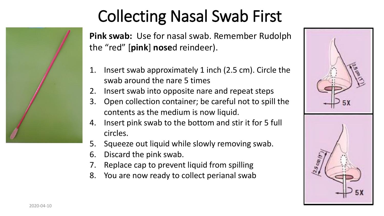

# Collecting Nasal Swab First

**Pink swab:** Use for nasal swab. Remember Rudolph the "red" [**pink**] **nose**d reindeer).

- 1. Insert swab approximately 1 inch (2.5 cm). Circle the swab around the nare 5 times
- 2. Insert swab into opposite nare and repeat steps
- 3. Open collection container; be careful not to spill the contents as the medium is now liquid.
- 4. Insert pink swab to the bottom and stir it for 5 full circles.
- 5. Squeeze out liquid while slowly removing swab.
- 6. Discard the pink swab.
- 7. Replace cap to prevent liquid from spilling
- 8. You are now ready to collect perianal swab

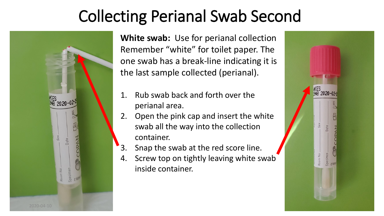### Collecting Perianal Swab Second



**White swab:** Use for perianal collection Remember "white" for toilet paper. The one swab has a break-line indicating it is the last sample collected (perianal).

- 1. Rub swab back and forth over the perianal area.
- 2. Open the pink cap and insert the white swab all the way into the collection container.
- 3. Snap the swab at the red score line.
- 4. Screw top on tightly leaving white swab inside container.

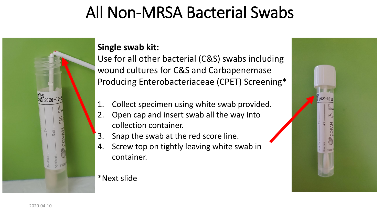### All Non-MRSA Bacterial Swabs



#### **Single swab kit:**

Use for all other bacterial (C&S) swabs including wound cultures for C&S and Carbapenemase Producing Enterobacteriaceae (CPET) Screening\*

- 1. Collect specimen using white swab provided.
- 2. Open cap and insert swab all the way into collection container.
- 3. Snap the swab at the red score line.
- 4. Screw top on tightly leaving white swab in container.

\*Next slide